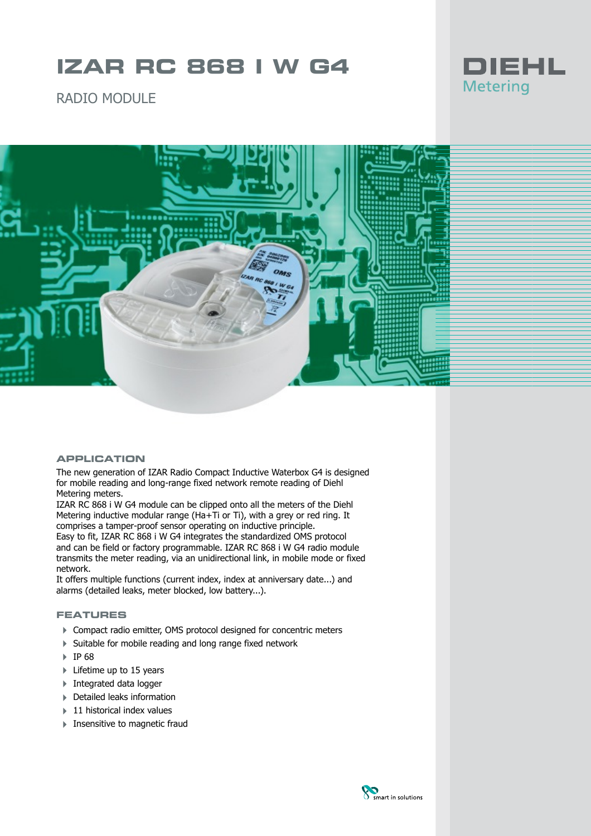# **IZAR RC 868 I W G4**



RADIO MODULE



## **APPLICATION**

The new generation of IZAR Radio Compact Inductive Waterbox G4 is designed for mobile reading and long-range fixed network remote reading of Diehl Metering meters.

IZAR RC 868 i W G4 module can be clipped onto all the meters of the Diehl Metering inductive modular range (Ha+Ti or Ti), with a grey or red ring. It comprises a tamper-proof sensor operating on inductive principle.

Easy to fit, IZAR RC 868 i W G4 integrates the standardized OMS protocol and can be field or factory programmable. IZAR RC 868 i W G4 radio module transmits the meter reading, via an unidirectional link, in mobile mode or fixed network.

It offers multiple functions (current index, index at anniversary date...) and alarms (detailed leaks, meter blocked, low battery...).

# **FEATURES**

- ▶ Compact radio emitter, OMS protocol designed for concentric meters
- 4 Suitable for mobile reading and long range fixed network
- 4 IP 68
- ▶ Lifetime up to 15 years
- **Integrated data logger**
- 4 Detailed leaks information
- $\blacktriangleright$  11 historical index values
- $\blacktriangleright$  Insensitive to magnetic fraud

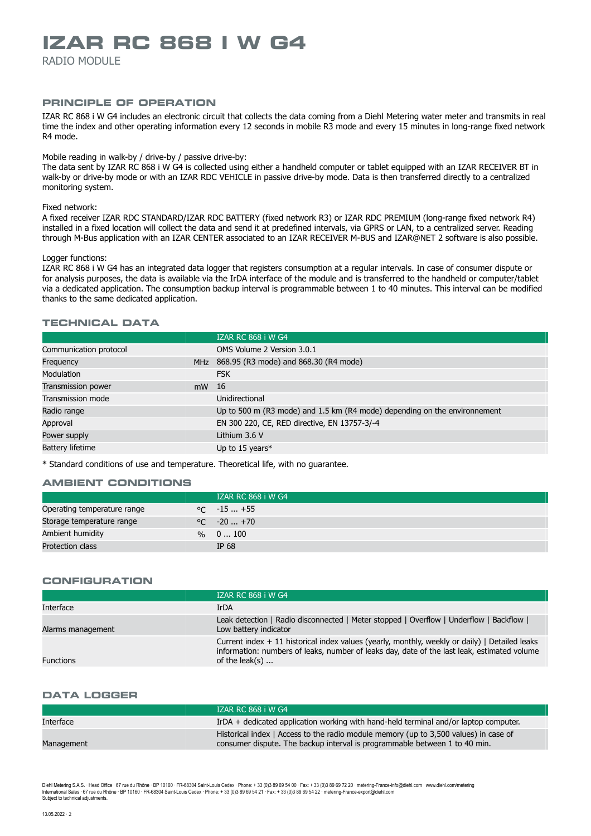# **IZAR RC 868 I W G4**

RADIO MODULE

## **PRINCIPLE OF OPERATION**

IZAR RC 868 i W G4 includes an electronic circuit that collects the data coming from a Diehl Metering water meter and transmits in real time the index and other operating information every 12 seconds in mobile R3 mode and every 15 minutes in long-range fixed network R4 mode.

## Mobile reading in walk-by / drive-by / passive drive-by:

The data sent by IZAR RC 868 i W G4 is collected using either a handheld computer or tablet equipped with an IZAR RECEIVER BT in walk-by or drive-by mode or with an IZAR RDC VEHICLE in passive drive-by mode. Data is then transferred directly to a centralized monitoring system.

#### Fixed network:

A fixed receiver IZAR RDC STANDARD/IZAR RDC BATTERY (fixed network R3) or IZAR RDC PREMIUM (long-range fixed network R4) installed in a fixed location will collect the data and send it at predefined intervals, via GPRS or LAN, to a centralized server. Reading through M-Bus application with an IZAR CENTER associated to an IZAR RECEIVER M-BUS and IZAR@NET 2 software is also possible.

#### Logger functions:

IZAR RC 868 i W G4 has an integrated data logger that registers consumption at a regular intervals. In case of consumer dispute or for analysis purposes, the data is available via the IrDA interface of the module and is transferred to the handheld or computer/tablet via a dedicated application. The consumption backup interval is programmable between 1 to 40 minutes. This interval can be modified thanks to the same dedicated application.

# **TECHNICAL DATA**

|                         |    | <b>IZAR RC 868 i W G4</b>                                                 |
|-------------------------|----|---------------------------------------------------------------------------|
| Communication protocol  |    | OMS Volume 2 Version 3.0.1                                                |
| Frequency               |    | MHz 868.95 (R3 mode) and 868.30 (R4 mode)                                 |
| <b>Modulation</b>       |    | <b>FSK</b>                                                                |
| Transmission power      | mW | - 16                                                                      |
| Transmission mode       |    | Unidirectional                                                            |
| Radio range             |    | Up to 500 m (R3 mode) and 1.5 km (R4 mode) depending on the environnement |
| Approval                |    | EN 300 220, CE, RED directive, EN 13757-3/-4                              |
| Power supply            |    | Lithium 3.6 V                                                             |
| <b>Battery lifetime</b> |    | Up to 15 years $*$                                                        |
|                         |    |                                                                           |

\* Standard conditions of use and temperature. Theoretical life, with no guarantee.

## **AMBIENT CONDITIONS**

|                             | <b>IZAR RC 868 i W G4</b> |
|-----------------------------|---------------------------|
| Operating temperature range | $\degree$ C $-15+55$      |
| Storage temperature range   | $\degree$ C $-20+70$      |
| Ambient humidity            | $\%$ 0  100               |
| Protection class            | IP 68                     |

#### **CONFIGURATION**

|                   | <b>IZAR RC 868 i W G4</b>                                                                                                                                                                                                 |
|-------------------|---------------------------------------------------------------------------------------------------------------------------------------------------------------------------------------------------------------------------|
| Interface         | <b>IrDA</b>                                                                                                                                                                                                               |
| Alarms management | Leak detection   Radio disconnected   Meter stopped   Overflow   Underflow   Backflow  <br>Low battery indicator                                                                                                          |
| <b>Functions</b>  | Current index $+11$ historical index values (yearly, monthly, weekly or daily)   Detailed leaks<br>information: numbers of leaks, number of leaks day, date of the last leak, estimated volume<br>of the leak(s) $\ldots$ |
|                   |                                                                                                                                                                                                                           |

## **DATA LOGGER**

|            | <b>IZAR RC 868 i W G4</b>                                                                                                                                          |
|------------|--------------------------------------------------------------------------------------------------------------------------------------------------------------------|
| Interface  | IrDA + dedicated application working with hand-held terminal and/or laptop computer.                                                                               |
| Management | Historical index   Access to the radio module memory (up to 3,500 values) in case of<br>consumer dispute. The backup interval is programmable between 1 to 40 min. |
|            |                                                                                                                                                                    |

Diehl Metering S.A.S. ∙ Head Office ∙ 67 rue du Rhône · BP 10160 · FR-68304 Saint-Louis Cedex · Phone: + 33 (0)3 89 69 10 · Fax: + 33 (0)3 89 69 72 20 · metering-France-info@diehl.com · www.diehl.com/metering International Sales ∙ 67 rue du Rhône ∙ BP 10160 ∙ FR-68304 Saint-Louis Cedex ∙ Phone: + 33 (0)3 89 69 54 21 ∙ Fax: + 33 (0)3 89 69 54 22 ∙ metering-France-export@diehl.com Subject to technical adjustments.